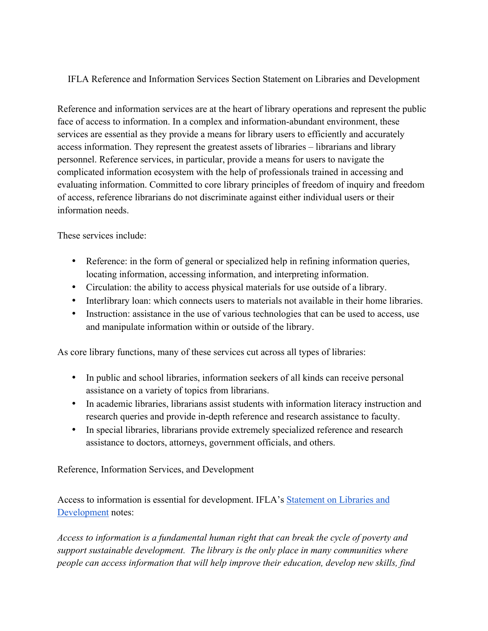## IFLA Reference and Information Services Section Statement on Libraries and Development

Reference and information services are at the heart of library operations and represent the public face of access to information. In a complex and information-abundant environment, these services are essential as they provide a means for library users to efficiently and accurately access information. They represent the greatest assets of libraries – librarians and library personnel. Reference services, in particular, provide a means for users to navigate the complicated information ecosystem with the help of professionals trained in accessing and evaluating information. Committed to core library principles of freedom of inquiry and freedom of access, reference librarians do not discriminate against either individual users or their information needs.

These services include:

- Reference: in the form of general or specialized help in refining information queries, locating information, accessing information, and interpreting information.
- Circulation: the ability to access physical materials for use outside of a library.
- Interlibrary loan: which connects users to materials not available in their home libraries.
- Instruction: assistance in the use of various technologies that can be used to access, use and manipulate information within or outside of the library.

As core library functions, many of these services cut across all types of libraries:

- In public and school libraries, information seekers of all kinds can receive personal assistance on a variety of topics from librarians.
- In academic libraries, librarians assist students with information literacy instruction and research queries and provide in-depth reference and research assistance to faculty.
- In special libraries, librarians provide extremely specialized reference and research assistance to doctors, attorneys, government officials, and others.

Reference, Information Services, and Development

Access to information is essential for development. IFLA's Statement on Libraries and Development notes:

*Access to information is a fundamental human right that can break the cycle of poverty and support sustainable development. The library is the only place in many communities where people can access information that will help improve their education, develop new skills, find*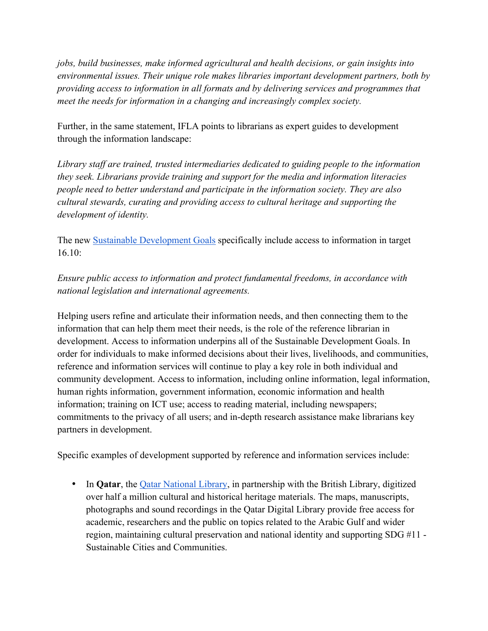*jobs, build businesses, make informed agricultural and health decisions, or gain insights into environmental issues. Their unique role makes libraries important development partners, both by providing access to information in all formats and by delivering services and programmes that meet the needs for information in a changing and increasingly complex society.*

Further, in the same statement, IFLA points to librarians as expert guides to development through the information landscape:

*Library staff are trained, trusted intermediaries dedicated to guiding people to the information they seek. Librarians provide training and support for the media and information literacies people need to better understand and participate in the information society. They are also cultural stewards, curating and providing access to cultural heritage and supporting the development of identity.*

The new Sustainable Development Goals specifically include access to information in target  $16.10<sup>°</sup>$ 

*Ensure public access to information and protect fundamental freedoms, in accordance with national legislation and international agreements.* 

Helping users refine and articulate their information needs, and then connecting them to the information that can help them meet their needs, is the role of the reference librarian in development. Access to information underpins all of the Sustainable Development Goals. In order for individuals to make informed decisions about their lives, livelihoods, and communities, reference and information services will continue to play a key role in both individual and community development. Access to information, including online information, legal information, human rights information, government information, economic information and health information; training on ICT use; access to reading material, including newspapers; commitments to the privacy of all users; and in-depth research assistance make librarians key partners in development.

Specific examples of development supported by reference and information services include:

• In **Qatar**, the Qatar National Library, in partnership with the British Library, digitized over half a million cultural and historical heritage materials. The maps, manuscripts, photographs and sound recordings in the Qatar Digital Library provide free access for academic, researchers and the public on topics related to the Arabic Gulf and wider region, maintaining cultural preservation and national identity and supporting SDG #11 - Sustainable Cities and Communities.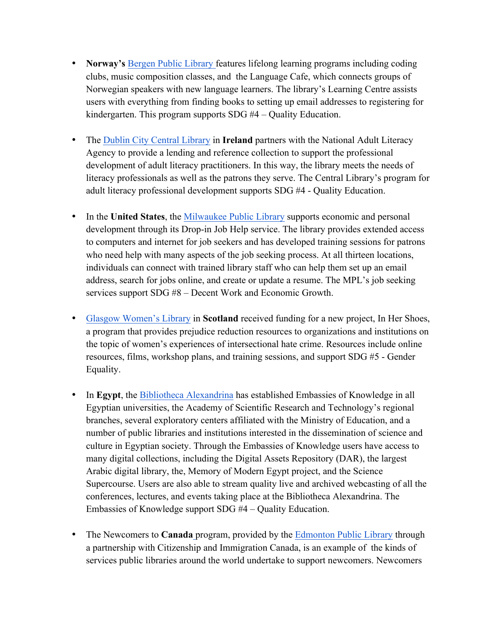- **Norway's** Bergen Public Library features lifelong learning programs including coding clubs, music composition classes, and the Language Cafe, which connects groups of Norwegian speakers with new language learners. The library's Learning Centre assists users with everything from finding books to setting up email addresses to registering for kindergarten. This program supports SDG #4 – Quality Education.
- The Dublin City Central Library in **Ireland** partners with the National Adult Literacy Agency to provide a lending and reference collection to support the professional development of adult literacy practitioners. In this way, the library meets the needs of literacy professionals as well as the patrons they serve. The Central Library's program for adult literacy professional development supports SDG #4 - Quality Education.
- In the **United States**, the Milwaukee Public Library supports economic and personal development through its Drop-in Job Help service. The library provides extended access to computers and internet for job seekers and has developed training sessions for patrons who need help with many aspects of the job seeking process. At all thirteen locations, individuals can connect with trained library staff who can help them set up an email address, search for jobs online, and create or update a resume. The MPL's job seeking services support SDG #8 – Decent Work and Economic Growth.
- Glasgow Women's Library in **Scotland** received funding for a new project, In Her Shoes, a program that provides prejudice reduction resources to organizations and institutions on the topic of women's experiences of intersectional hate crime. Resources include online resources, films, workshop plans, and training sessions, and support SDG #5 - Gender Equality.
- In **Egypt**, the Bibliotheca Alexandrina has established Embassies of Knowledge in all Egyptian universities, the Academy of Scientific Research and Technology's regional branches, several exploratory centers affiliated with the Ministry of Education, and a number of public libraries and institutions interested in the dissemination of science and culture in Egyptian society. Through the Embassies of Knowledge users have access to many digital collections, including the Digital Assets Repository (DAR), the largest Arabic digital library, the, Memory of Modern Egypt project, and the Science Supercourse. Users are also able to stream quality live and archived webcasting of all the conferences, lectures, and events taking place at the Bibliotheca Alexandrina. The Embassies of Knowledge support SDG #4 – Quality Education.
- The Newcomers to **Canada** program, provided by the Edmonton Public Library through a partnership with Citizenship and Immigration Canada, is an example of the kinds of services public libraries around the world undertake to support newcomers. Newcomers